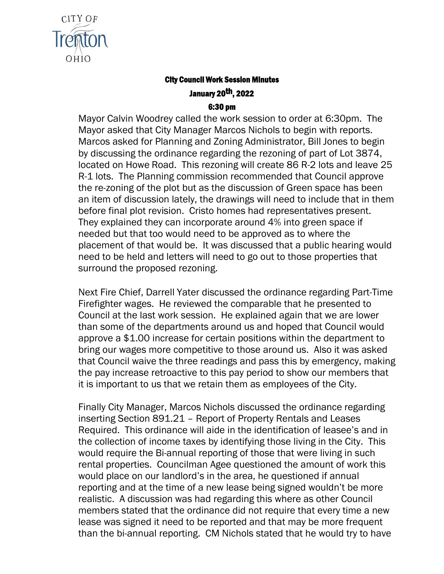

## City Council Work Session Minutes January 20th, 2022

## 6:30 pm

Mayor Calvin Woodrey called the work session to order at 6:30pm. The Mayor asked that City Manager Marcos Nichols to begin with reports. Marcos asked for Planning and Zoning Administrator, Bill Jones to begin by discussing the ordinance regarding the rezoning of part of Lot 3874, located on Howe Road. This rezoning will create 86 R-2 lots and leave 25 R-1 lots. The Planning commission recommended that Council approve the re-zoning of the plot but as the discussion of Green space has been an item of discussion lately, the drawings will need to include that in them before final plot revision. Cristo homes had representatives present. They explained they can incorporate around 4% into green space if needed but that too would need to be approved as to where the placement of that would be. It was discussed that a public hearing would need to be held and letters will need to go out to those properties that surround the proposed rezoning.

Next Fire Chief, Darrell Yater discussed the ordinance regarding Part-Time Firefighter wages. He reviewed the comparable that he presented to Council at the last work session. He explained again that we are lower than some of the departments around us and hoped that Council would approve a \$1.00 increase for certain positions within the department to bring our wages more competitive to those around us. Also it was asked that Council waive the three readings and pass this by emergency, making the pay increase retroactive to this pay period to show our members that it is important to us that we retain them as employees of the City.

Finally City Manager, Marcos Nichols discussed the ordinance regarding inserting Section 891.21 – Report of Property Rentals and Leases Required. This ordinance will aide in the identification of leasee's and in the collection of income taxes by identifying those living in the City. This would require the Bi-annual reporting of those that were living in such rental properties. Councilman Agee questioned the amount of work this would place on our landlord's in the area, he questioned if annual reporting and at the time of a new lease being signed wouldn't be more realistic. A discussion was had regarding this where as other Council members stated that the ordinance did not require that every time a new lease was signed it need to be reported and that may be more frequent than the bi-annual reporting. CM Nichols stated that he would try to have